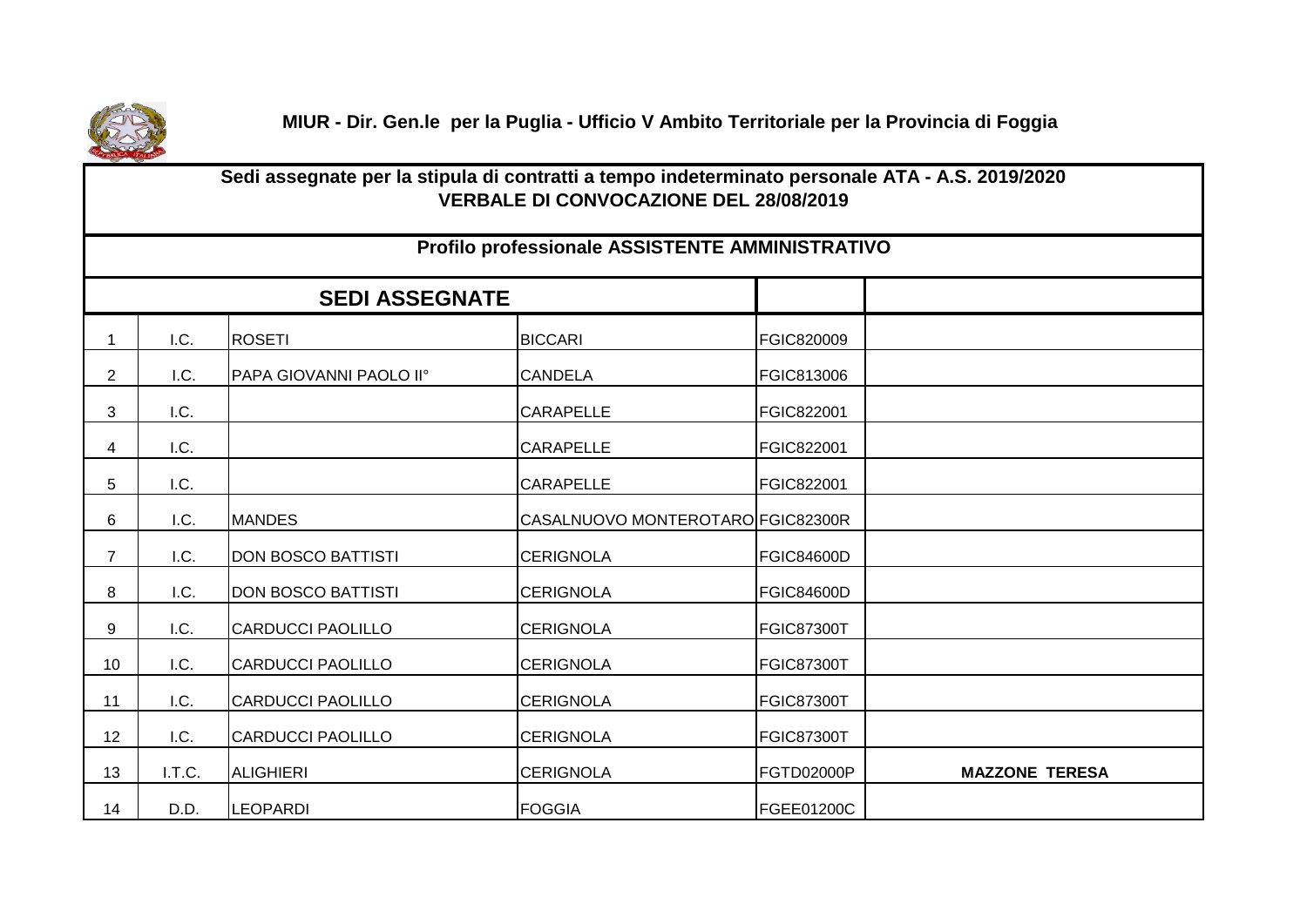

 **MIUR - Dir. Gen.le per la Puglia - Ufficio V Ambito Territoriale per la Provincia di Foggia**

|                | Sedi assegnate per la stipula di contratti a tempo indeterminato personale ATA - A.S. 2019/2020<br><b>VERBALE DI CONVOCAZIONE DEL 28/08/2019</b> |                           |                                                 |                   |                       |  |  |  |
|----------------|--------------------------------------------------------------------------------------------------------------------------------------------------|---------------------------|-------------------------------------------------|-------------------|-----------------------|--|--|--|
|                |                                                                                                                                                  |                           | Profilo professionale ASSISTENTE AMMINISTRATIVO |                   |                       |  |  |  |
|                |                                                                                                                                                  | <b>SEDI ASSEGNATE</b>     |                                                 |                   |                       |  |  |  |
| $\mathbf{1}$   | I.C.                                                                                                                                             | <b>ROSETI</b>             | <b>BICCARI</b>                                  | FGIC820009        |                       |  |  |  |
| $\overline{2}$ | I.C.                                                                                                                                             | PAPA GIOVANNI PAOLO II°   | <b>CANDELA</b>                                  | FGIC813006        |                       |  |  |  |
| 3              | I.C.                                                                                                                                             |                           | <b>CARAPELLE</b>                                | FGIC822001        |                       |  |  |  |
| 4              | I.C.                                                                                                                                             |                           | <b>CARAPELLE</b>                                | FGIC822001        |                       |  |  |  |
| 5              | I.C.                                                                                                                                             |                           | <b>CARAPELLE</b>                                | FGIC822001        |                       |  |  |  |
| 6              | I.C.                                                                                                                                             | <b>MANDES</b>             | CASALNUOVO MONTEROTARO FGIC82300R               |                   |                       |  |  |  |
| $\overline{7}$ | I.C.                                                                                                                                             | <b>DON BOSCO BATTISTI</b> | <b>CERIGNOLA</b>                                | <b>FGIC84600D</b> |                       |  |  |  |
| 8              | I.C.                                                                                                                                             | <b>DON BOSCO BATTISTI</b> | <b>CERIGNOLA</b>                                | FGIC84600D        |                       |  |  |  |
| 9              | I.C.                                                                                                                                             | <b>CARDUCCI PAOLILLO</b>  | <b>CERIGNOLA</b>                                | <b>FGIC87300T</b> |                       |  |  |  |
| 10             | I.C.                                                                                                                                             | <b>CARDUCCI PAOLILLO</b>  | <b>CERIGNOLA</b>                                | <b>FGIC87300T</b> |                       |  |  |  |
| 11             | I.C.                                                                                                                                             | <b>CARDUCCI PAOLILLO</b>  | <b>CERIGNOLA</b>                                | <b>FGIC87300T</b> |                       |  |  |  |
| 12             | I.C.                                                                                                                                             | <b>CARDUCCI PAOLILLO</b>  | <b>CERIGNOLA</b>                                | <b>FGIC87300T</b> |                       |  |  |  |
| 13             | I.T.C.                                                                                                                                           | <b>ALIGHIERI</b>          | <b>CERIGNOLA</b>                                | FGTD02000P        | <b>MAZZONE TERESA</b> |  |  |  |
| 14             | D.D.                                                                                                                                             | <b>LEOPARDI</b>           | <b>FOGGIA</b>                                   | FGEE01200C        |                       |  |  |  |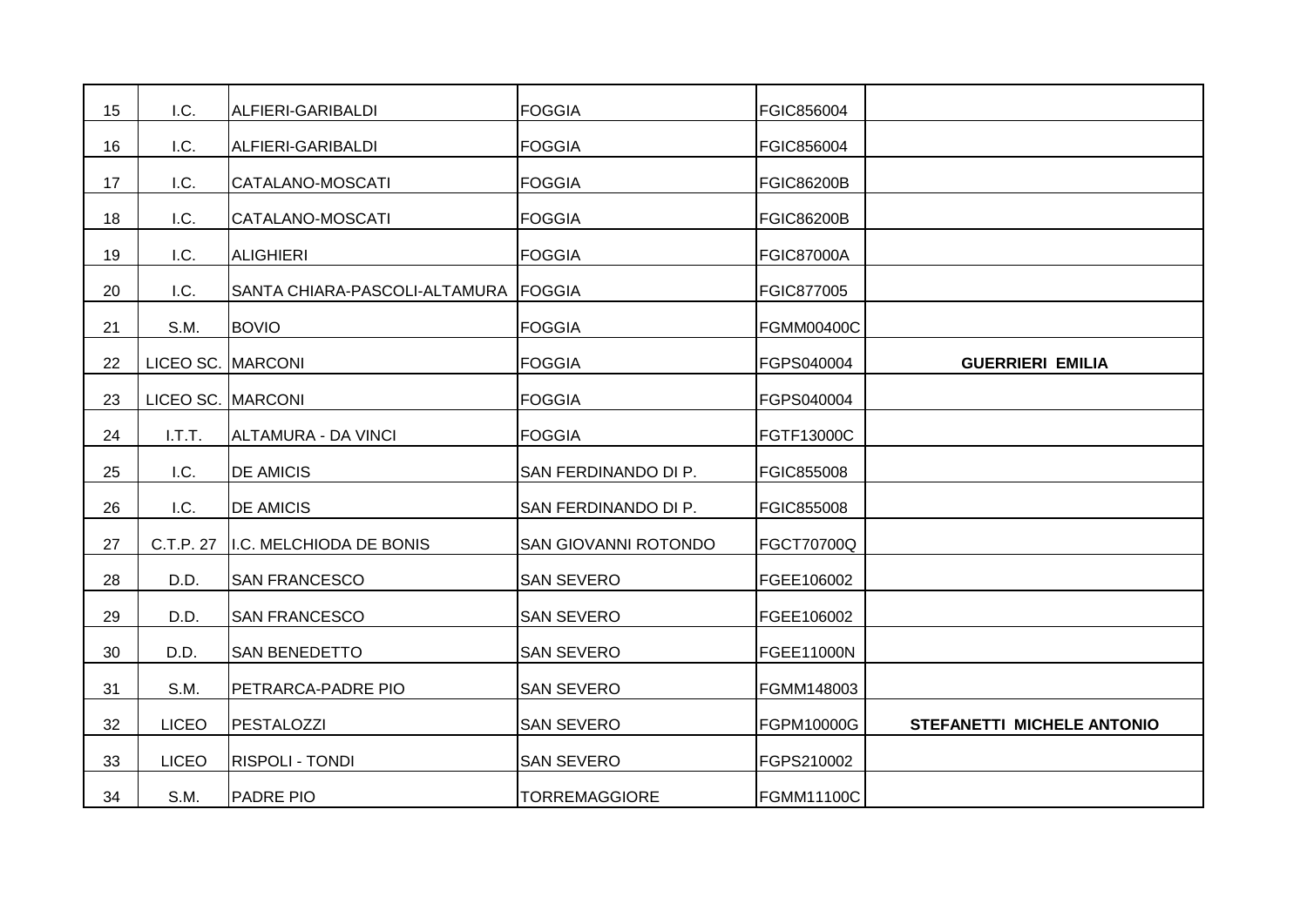| 15 | I.C.         | ALFIERI-GARIBALDI                    | <b>FOGGIA</b>        | FGIC856004        |                            |
|----|--------------|--------------------------------------|----------------------|-------------------|----------------------------|
| 16 | I.C.         | ALFIERI-GARIBALDI                    | <b>FOGGIA</b>        | FGIC856004        |                            |
| 17 | I.C.         | CATALANO-MOSCATI                     | <b>FOGGIA</b>        | <b>FGIC86200B</b> |                            |
| 18 | I.C.         | CATALANO-MOSCATI                     | <b>FOGGIA</b>        | <b>FGIC86200B</b> |                            |
| 19 | I.C.         | <b>ALIGHIERI</b>                     | <b>FOGGIA</b>        | <b>FGIC87000A</b> |                            |
| 20 | I.C.         | SANTA CHIARA-PASCOLI-ALTAMURA FOGGIA |                      | FGIC877005        |                            |
| 21 | S.M.         | <b>BOVIO</b>                         | <b>FOGGIA</b>        | <b>FGMM00400C</b> |                            |
| 22 | LICEO SC.    | <b>MARCONI</b>                       | <b>FOGGIA</b>        | FGPS040004        | <b>GUERRIERI EMILIA</b>    |
| 23 | LICEO SC.    | <b>MARCONI</b>                       | <b>FOGGIA</b>        | FGPS040004        |                            |
| 24 | I.T.T.       | <b>ALTAMURA - DA VINCI</b>           | <b>FOGGIA</b>        | FGTF13000C        |                            |
| 25 | I.C.         | <b>DE AMICIS</b>                     | SAN FERDINANDO DI P. | <b>FGIC855008</b> |                            |
| 26 | I.C.         | <b>DE AMICIS</b>                     | SAN FERDINANDO DI P. | FGIC855008        |                            |
| 27 | C.T.P. 27    | I.C. MELCHIODA DE BONIS              | SAN GIOVANNI ROTONDO | <b>FGCT70700Q</b> |                            |
| 28 | D.D.         | <b>SAN FRANCESCO</b>                 | <b>SAN SEVERO</b>    | FGEE106002        |                            |
| 29 | D.D.         | <b>SAN FRANCESCO</b>                 | <b>SAN SEVERO</b>    | FGEE106002        |                            |
| 30 | D.D.         | SAN BENEDETTO                        | <b>SAN SEVERO</b>    | <b>FGEE11000N</b> |                            |
| 31 | S.M.         | PETRARCA-PADRE PIO                   | <b>SAN SEVERO</b>    | FGMM148003        |                            |
| 32 | <b>LICEO</b> | <b>PESTALOZZI</b>                    | <b>SAN SEVERO</b>    | FGPM10000G        | STEFANETTI MICHELE ANTONIO |
| 33 | <b>LICEO</b> | <b>RISPOLI - TONDI</b>               | <b>SAN SEVERO</b>    | FGPS210002        |                            |
| 34 | S.M.         | <b>PADRE PIO</b>                     | <b>TORREMAGGIORE</b> | <b>FGMM11100C</b> |                            |